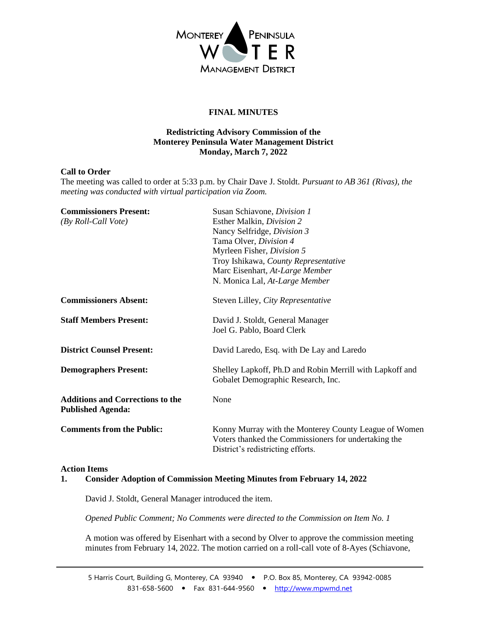

# **FINAL MINUTES**

## **Redistricting Advisory Commission of the Monterey Peninsula Water Management District Monday, March 7, 2022**

### **Call to Order**

The meeting was called to order at 5:33 p.m. by Chair Dave J. Stoldt. *Pursuant to AB 361 (Rivas), the meeting was conducted with virtual participation via Zoom.*

| <b>Commissioners Present:</b><br>(By Roll-Call Vote)                | Susan Schiavone, Division 1<br>Esther Malkin, Division 2<br>Nancy Selfridge, Division 3<br>Tama Olver, Division 4<br>Myrleen Fisher, Division 5<br>Troy Ishikawa, County Representative<br>Marc Eisenhart, At-Large Member<br>N. Monica Lal, At-Large Member |
|---------------------------------------------------------------------|--------------------------------------------------------------------------------------------------------------------------------------------------------------------------------------------------------------------------------------------------------------|
| <b>Commissioners Absent:</b>                                        | Steven Lilley, City Representative                                                                                                                                                                                                                           |
| <b>Staff Members Present:</b>                                       | David J. Stoldt, General Manager<br>Joel G. Pablo, Board Clerk                                                                                                                                                                                               |
| <b>District Counsel Present:</b>                                    | David Laredo, Esq. with De Lay and Laredo                                                                                                                                                                                                                    |
| <b>Demographers Present:</b>                                        | Shelley Lapkoff, Ph.D and Robin Merrill with Lapkoff and<br>Gobalet Demographic Research, Inc.                                                                                                                                                               |
| <b>Additions and Corrections to the</b><br><b>Published Agenda:</b> | None                                                                                                                                                                                                                                                         |
| <b>Comments from the Public:</b>                                    | Konny Murray with the Monterey County League of Women<br>Voters thanked the Commissioners for undertaking the<br>District's redistricting efforts.                                                                                                           |

#### **Action Items**

### **1. Consider Adoption of Commission Meeting Minutes from February 14, 2022**

David J. Stoldt, General Manager introduced the item.

*Opened Public Comment; No Comments were directed to the Commission on Item No. 1* 

A motion was offered by Eisenhart with a second by Olver to approve the commission meeting minutes from February 14, 2022. The motion carried on a roll-call vote of 8-Ayes (Schiavone,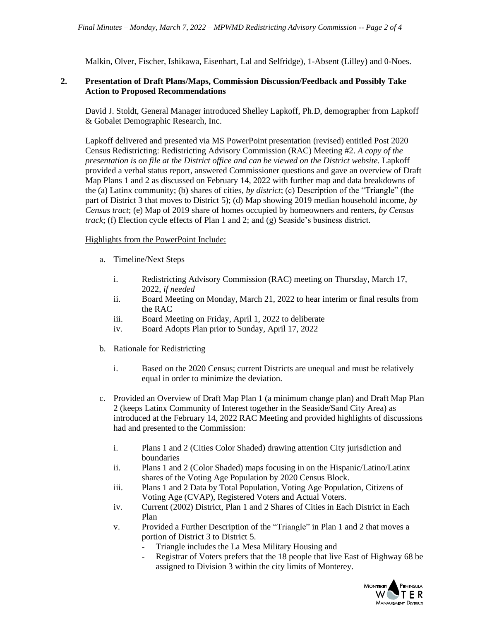Malkin, Olver, Fischer, Ishikawa, Eisenhart, Lal and Selfridge), 1-Absent (Lilley) and 0-Noes.

### **2. Presentation of Draft Plans/Maps, Commission Discussion/Feedback and Possibly Take Action to Proposed Recommendations**

David J. Stoldt, General Manager introduced Shelley Lapkoff, Ph.D, demographer from Lapkoff & Gobalet Demographic Research, Inc.

Lapkoff delivered and presented via MS PowerPoint presentation (revised) entitled Post 2020 Census Redistricting: Redistricting Advisory Commission (RAC) Meeting #2. *A copy of the presentation is on file at the District office and can be viewed on the District website.* Lapkoff provided a verbal status report, answered Commissioner questions and gave an overview of Draft Map Plans 1 and 2 as discussed on February 14, 2022 with further map and data breakdowns of the (a) Latinx community; (b) shares of cities, *by district*; (c) Description of the "Triangle" (the part of District 3 that moves to District 5); (d) Map showing 2019 median household income, *by Census tract*; (e) Map of 2019 share of homes occupied by homeowners and renters, *by Census track*; (f) Election cycle effects of Plan 1 and 2; and (g) Seaside's business district.

### Highlights from the PowerPoint Include:

- a. Timeline/Next Steps
	- i. Redistricting Advisory Commission (RAC) meeting on Thursday, March 17, 2022, *if needed*
	- ii. Board Meeting on Monday, March 21, 2022 to hear interim or final results from the RAC
	- iii. Board Meeting on Friday, April 1, 2022 to deliberate
	- iv. Board Adopts Plan prior to Sunday, April 17, 2022
- b. Rationale for Redistricting
	- i. Based on the 2020 Census; current Districts are unequal and must be relatively equal in order to minimize the deviation.
- c. Provided an Overview of Draft Map Plan 1 (a minimum change plan) and Draft Map Plan 2 (keeps Latinx Community of Interest together in the Seaside/Sand City Area) as introduced at the February 14, 2022 RAC Meeting and provided highlights of discussions had and presented to the Commission:
	- i. Plans 1 and 2 (Cities Color Shaded) drawing attention City jurisdiction and boundaries
	- ii. Plans 1 and 2 (Color Shaded) maps focusing in on the Hispanic/Latino/Latinx shares of the Voting Age Population by 2020 Census Block.
	- iii. Plans 1 and 2 Data by Total Population, Voting Age Population, Citizens of Voting Age (CVAP), Registered Voters and Actual Voters.
	- iv. Current (2002) District, Plan 1 and 2 Shares of Cities in Each District in Each Plan
	- v. Provided a Further Description of the "Triangle" in Plan 1 and 2 that moves a portion of District 3 to District 5.
		- Triangle includes the La Mesa Military Housing and
		- Registrar of Voters prefers that the 18 people that live East of Highway 68 be assigned to Division 3 within the city limits of Monterey.

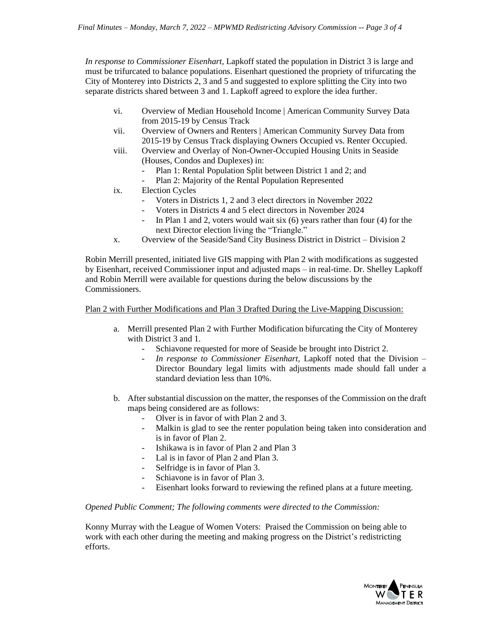*In response to Commissioner Eisenhart,* Lapkoff stated the population in District 3 is large and must be trifurcated to balance populations. Eisenhart questioned the propriety of trifurcating the City of Monterey into Districts 2, 3 and 5 and suggested to explore splitting the City into two separate districts shared between 3 and 1. Lapkoff agreed to explore the idea further.

- vi. Overview of Median Household Income | American Community Survey Data from 2015-19 by Census Track
- vii. Overview of Owners and Renters | American Community Survey Data from 2015-19 by Census Track displaying Owners Occupied vs. Renter Occupied.
- viii. Overview and Overlay of Non-Owner-Occupied Housing Units in Seaside (Houses, Condos and Duplexes) in:
	- Plan 1: Rental Population Split between District 1 and 2; and
	- Plan 2: Majority of the Rental Population Represented
- ix. Election Cycles
	- Voters in Districts 1, 2 and 3 elect directors in November 2022
	- Voters in Districts 4 and 5 elect directors in November 2024
	- In Plan 1 and 2, voters would wait six  $(6)$  years rather than four  $(4)$  for the next Director election living the "Triangle."
- x. Overview of the Seaside/Sand City Business District in District Division 2

Robin Merrill presented, initiated live GIS mapping with Plan 2 with modifications as suggested by Eisenhart, received Commissioner input and adjusted maps – in real-time. Dr. Shelley Lapkoff and Robin Merrill were available for questions during the below discussions by the Commissioners.

#### Plan 2 with Further Modifications and Plan 3 Drafted During the Live-Mapping Discussion:

- a. Merrill presented Plan 2 with Further Modification bifurcating the City of Monterey with District 3 and 1.
	- Schiavone requested for more of Seaside be brought into District 2.
	- *In response to Commissioner Eisenhart,* Lapkoff noted that the Division Director Boundary legal limits with adjustments made should fall under a standard deviation less than 10%.
- b. After substantial discussion on the matter, the responses of the Commission on the draft maps being considered are as follows:
	- Olver is in favor of with Plan 2 and 3.
	- Malkin is glad to see the renter population being taken into consideration and is in favor of Plan 2.
	- Ishikawa is in favor of Plan 2 and Plan 3
	- Lal is in favor of Plan 2 and Plan 3.
	- Selfridge is in favor of Plan 3.
	- Schiavone is in favor of Plan 3.
	- Eisenhart looks forward to reviewing the refined plans at a future meeting.

#### *Opened Public Comment; The following comments were directed to the Commission:*

Konny Murray with the League of Women Voters: Praised the Commission on being able to work with each other during the meeting and making progress on the District's redistricting efforts.